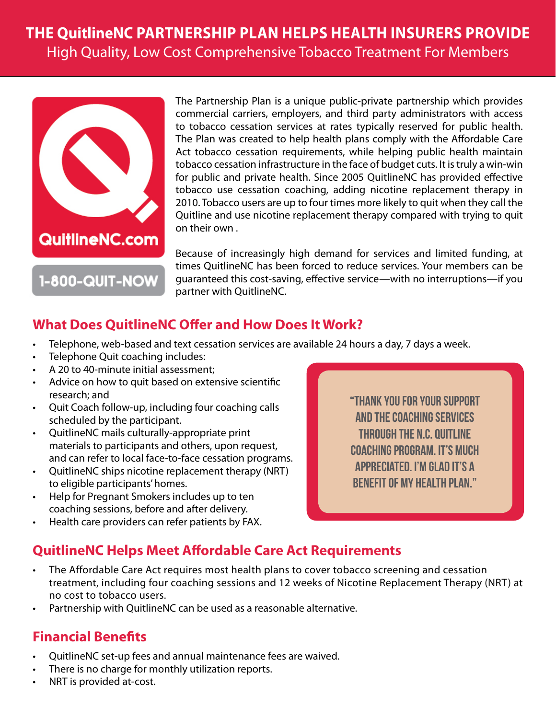# **THE QuitlineNC PARTNERSHIP PLAN HELPS HEALTH INSURERS PROVIDE** High Quality, Low Cost Comprehensive Tobacco Treatment For Members



**1-800-QUIT-NOW** 

The Partnership Plan is a unique public-private partnership which provides commercial carriers, employers, and third party administrators with access to tobacco cessation services at rates typically reserved for public health. The Plan was created to help health plans comply with the Affordable Care Act tobacco cessation requirements, while helping public health maintain tobacco cessation infrastructure in the face of budget cuts. It is truly a win-win for public and private health. Since 2005 QuitlineNC has provided effective tobacco use cessation coaching, adding nicotine replacement therapy in 2010. Tobacco users are up to four times more likely to quit when they call the Quitline and use nicotine replacement therapy compared with trying to quit on their own .

Because of increasingly high demand for services and limited funding, at times QuitlineNC has been forced to reduce services. Your members can be guaranteed this cost-saving, effective service—with no interruptions—if you partner with QuitlineNC.

#### **What Does QuitlineNC Offer and How Does It Work?**

- Telephone, web-based and text cessation services are available 24 hours a day, 7 days a week.
- Telephone Quit coaching includes:
- A 20 to 40-minute initial assessment;
- Advice on how to quit based on extensive scientific research; and
- Quit Coach follow-up, including four coaching calls scheduled by the participant.
- QuitlineNC mails culturally-appropriate print materials to participants and others, upon request, and can refer to local face-to-face cessation programs.
- QuitlineNC ships nicotine replacement therapy (NRT) to eligible participants' homes.
- Help for Pregnant Smokers includes up to ten coaching sessions, before and after delivery.
- Health care providers can refer patients by FAX.

"Thank you for your support and the coaching services through the N.C. Quitline coaching program. It's much appreciated. I'm glad it's a benefit of my health plan."

## **QuitlineNC Helps Meet Affordable Care Act Requirements**

- The Affordable Care Act requires most health plans to cover tobacco screening and cessation treatment, including four coaching sessions and 12 weeks of Nicotine Replacement Therapy (NRT) at no cost to tobacco users.
- Partnership with QuitlineNC can be used as a reasonable alternative.

#### **Financial Benefits**

- QuitlineNC set-up fees and annual maintenance fees are waived.
- There is no charge for monthly utilization reports.
- NRT is provided at-cost.